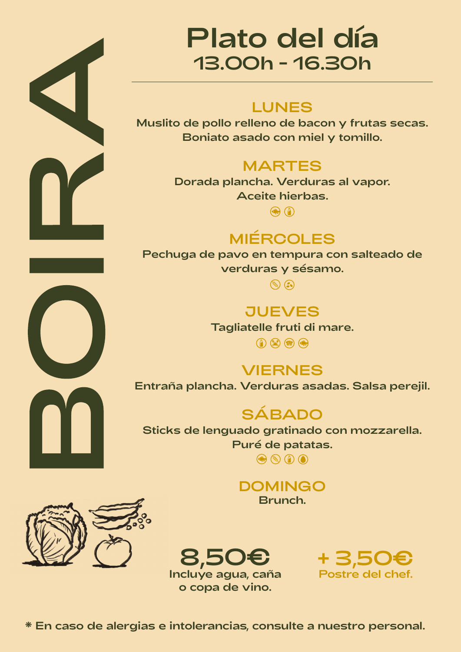

## Plato del día 13.00h - 16.30h

## LUNES

Muslito de pollo relleno de bacon y frutas secas. Boniato asado con miel y tomillo.

## **MARTES**

Dorada plancha. Verduras al vapor. Aceite hierbas.

 $\bigodot$ 

## MIÉRCOLES

Pechuga de pavo en tempura con salteado de verduras y sésamo.

 $\odot$ 

**JUEVES** 

Tagliatelle fruti di mare.

 $\textcircled{r} \otimes \textcircled{r} \otimes \textcircled{r}$ 

VIERNES Entraña plancha. Verduras asadas. Salsa perejil.

**SÁBADO** 

Sticks de lenguado gratinado con mozzarella. Puré de patatas.  $\circledcirc$   $\circledcirc$   $\circledcirc$ 

> DOMINGO Brunch.



8,50€ Incluye agua, caña o copa de vino.

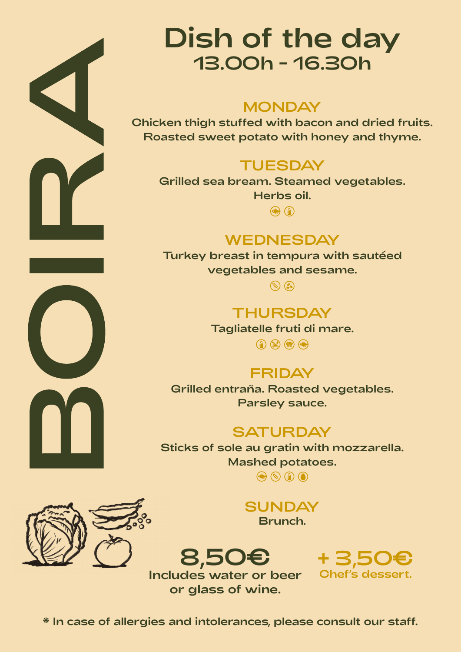

## Dish of the day 13.00h - 16.30h

## **MONDAY**

Chicken thigh stuffed with bacon and dried fruits. Roasted sweet potato with honey and thyme.

## **TUESDAY**

Grilled sea bream. Steamed vegetables. Herbs oil.

 $\circledR$ 

## **WEDNESDAY**

Turkey breast in tempura with sautéed vegetables and sesame.

 $\odot$ 

**THURSDAY** 

Tagliatelle fruti di mare.

 $\textcircled{1}\textcircled{2}\textcircled{3}$ 

## **FRIDAY**

Grilled entraña. Roasted vegetables. Parsley sauce.

#### **SATURDAY**

Sticks of sole au gratin with mozzarella. Mashed potatoes.

 $\circledcirc$   $\circledcirc$   $\circledcirc$ 

**SUNDAY** Brunch.

8,50€ Includes water or beer or glass of wine.





\* In case of allergies and intolerances, please consult our staff.